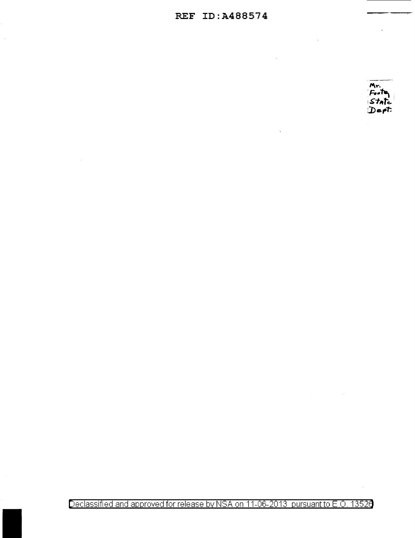## REF ID:A488574



Declassified and approved for release by NSA on 11-06-2013 pursuant to E.O. 13520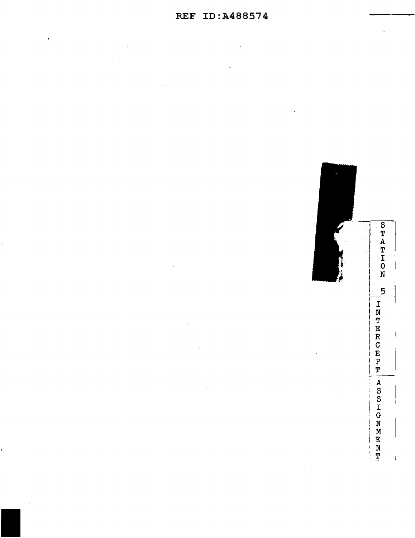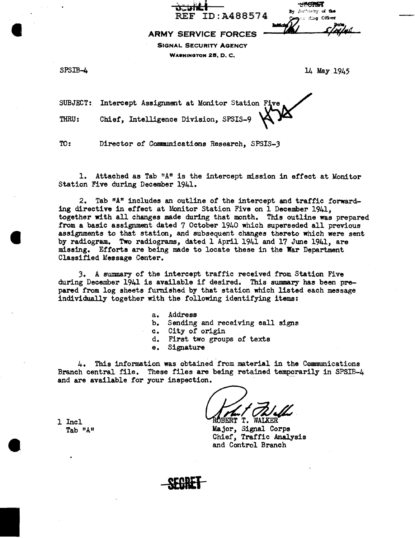| والمعارية                                                           | <del>wan</del>                              |
|---------------------------------------------------------------------|---------------------------------------------|
| $\mathbf{v} = \mathbf{v} \cdot \mathbf{v}$<br><b>REF ID:A488574</b> | By Buthority of the<br>Compact ding Officer |
| CEBVICE EABCER                                                      | $\mathbf{Mod}(\mathcal{U})$<br>S IN INS     |

ARMY SERVICE FORCES \*

SIGNAL SECURITY AGENCY WASHINGTON 28, D. C,

I

 $\bullet$ 

•

 $SPSIB-4$  14 May 1945

SUBJECT: Intercept Assignment at Monitor Station Five THRU: Chief, Intelligence Division, SPSIS-9

 $\overrightarrow{v}$ 

TO: Director of Communications Research, SPSIS-3

1. Attached as Tab "A" is the intercept mission in effect at Monitor Station Five during December 1941.

2. Tab "A" includes an outline of the intercept and traffic forwarding directive in effect at Monitor Station Five on 1 December 1941, together with all changes made during that month. This outline was prepared from a basic assignment dated 7 October 1940 which superseded all previous assignments to that station, and subsequent changes thereto which were sent by radiogram. Two radiograms, dated 1 April 1941 and 17 June 1941, are missing. Efforts are being made to locate these in the War Department Classified Message Center.

3. A summary of the intercept traffic received from Station Five during December 1941 is available if desired. This summary has been prepared from log sheets furnished by that station which listed each message individually together with the following identifying items:

- a. Address
- b. Sending and receiving call signs
- c. City of origin
- d. First two groups of texts
- e. Signature

4. This information was obtained from material in the Communications Branch central file. These files are being retained temporarily in SPSIB-4 and are available for your inspection.

RÖBERT T. WALKER<br>Major, Signal Corps Chief, Traffic Analysis and Control Branch

1 Incl Tab "A"

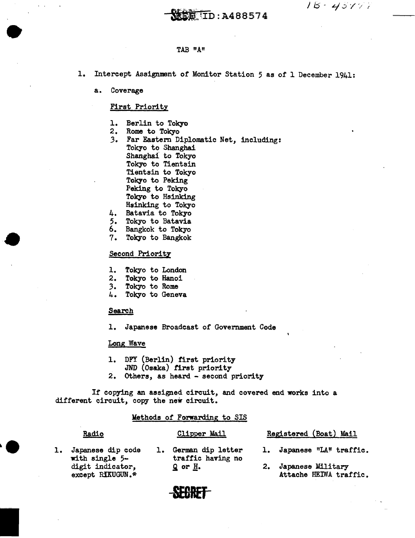$18 - 43777$ 

# $\overline{\text{EB}}$  ID:A488574

### TAB "A"

- 1. Intercept Assignment of Monitor Station 5 as of 1 December 1941:
	- a. Coverage

•

## First Priority

- 1. Berlin to Tokyo<br>2. Rome to Tokyo
- 
- 3. Far Eastern Diplomatic Net, including: Tokyo to Shanghai Shanghai to Tokyo Tokyo to Tientsin Tientsin to Tokyo Tokyo to Peking Peking to Tokyo Tokyo to Hsinking Hsinking to Tokyo<br>4. Batavia to Tokyo<br>5. Tokyo to Batavia<br>6. Bangkok to Tokyo
- 
- 
- 6. Bangkok to Tokyo 7. Tokyo to Bangkok

## Second Priority

- 1. Tokyo to London
- 2. Tokyo to Hanoi
- 3. Tokyo to Rome<br>4. Tokyo to Gene
- Tokyo to Geneva

#### **Search**

1. Japanese Broadcast of Government Code

#### Long Wave

- 1. DFY (Berlin) first priority
- JND (Osaka) first priority
- 2. Others, as heard second priority

It copying an assigned circuit, and covered end works into a different circuit, copy the new circuit.

## Methods of Forwarding to SIS

## Radio

## Clipper Mail

- 1. Japanese dip code with single 5 digit indicator, except RIKUGUN.\*
- 1. German dip letter traffic having no  $Q$  or  $H$ .
- Registered (Boat) Mail
- 1. Japanese "LA" traffic.
- 2. Japanese Military Attache HEIWA traffic.